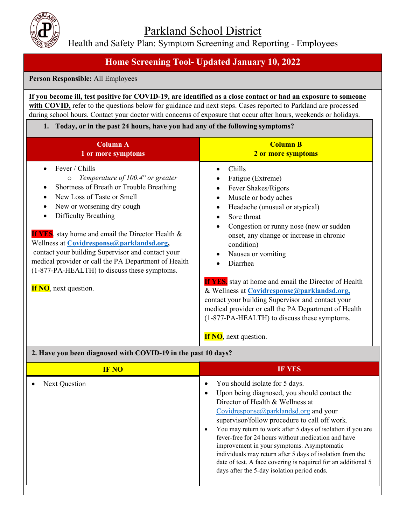Parkland School District

Health and Safety Plan: Symptom Screening and Reporting - Employees

## **Home Screening Tool- Updated January 10, 2022**

**Person Responsible:** All Employees

**If you become ill, test positive for COVID-19, are identified as a close contact or had an exposure to someone**  with COVID, refer to the questions below for guidance and next steps. Cases reported to Parkland are processed during school hours. Contact your doctor with concerns of exposure that occur after hours, weekends or holidays.

#### **1. Today, or in the past 24 hours, have you had any of the following symptoms?**

| <b>Column A</b><br>1 or more symptoms                                                                                                                                                                                                                                                                                                                                                                                                                                                                               | <b>Column B</b><br>2 or more symptoms                                                                                                                                                                                                                                                                                                                                                                                                                                                                                                                                                 |
|---------------------------------------------------------------------------------------------------------------------------------------------------------------------------------------------------------------------------------------------------------------------------------------------------------------------------------------------------------------------------------------------------------------------------------------------------------------------------------------------------------------------|---------------------------------------------------------------------------------------------------------------------------------------------------------------------------------------------------------------------------------------------------------------------------------------------------------------------------------------------------------------------------------------------------------------------------------------------------------------------------------------------------------------------------------------------------------------------------------------|
| Fever / Chills<br>Temperature of $100.4^{\circ}$ or greater<br>$\circ$<br>Shortness of Breath or Trouble Breathing<br>New Loss of Taste or Smell<br>New or worsening dry cough<br>٠<br>Difficulty Breathing<br><b>If YES</b> , stay home and email the Director Health &<br>Wellness at Covidresponse@parklandsd.org,<br>contact your building Supervisor and contact your<br>medical provider or call the PA Department of Health<br>(1-877-PA-HEALTH) to discuss these symptoms.<br><b>If NO</b> , next question. | Chills<br>Fatigue (Extreme)<br>Fever Shakes/Rigors<br>Muscle or body aches<br>Headache (unusual or atypical)<br>٠<br>Sore throat<br>Congestion or runny nose (new or sudden<br>onset, any change or increase in chronic<br>condition)<br>Nausea or vomiting<br>Diarrhea<br><b>If YES</b> , stay at home and email the Director of Health<br>& Wellness at Covidresponse@parklandsd.org,<br>contact your building Supervisor and contact your<br>medical provider or call the PA Department of Health<br>(1-877-PA-HEALTH) to discuss these symptoms.<br><b>If NO</b> , next question. |

## **2. Have you been diagnosed with COVID-19 in the past 10 days?**

| <b>IF NO</b>         | <b>IF YES</b>                                                                                                                                                                                                                                                                                                                                                                                                                                                                                                                                                 |
|----------------------|---------------------------------------------------------------------------------------------------------------------------------------------------------------------------------------------------------------------------------------------------------------------------------------------------------------------------------------------------------------------------------------------------------------------------------------------------------------------------------------------------------------------------------------------------------------|
| <b>Next Question</b> | You should isolate for 5 days.<br>Upon being diagnosed, you should contact the<br>Director of Health & Wellness at<br>Covidresponse@parklandsd.org and your<br>supervisor/follow procedure to call off work.<br>You may return to work after 5 days of isolation if you are<br>fever-free for 24 hours without medication and have<br>improvement in your symptoms. Asymptomatic<br>individuals may return after 5 days of isolation from the<br>date of test. A face covering is required for an additional 5<br>days after the 5-day isolation period ends. |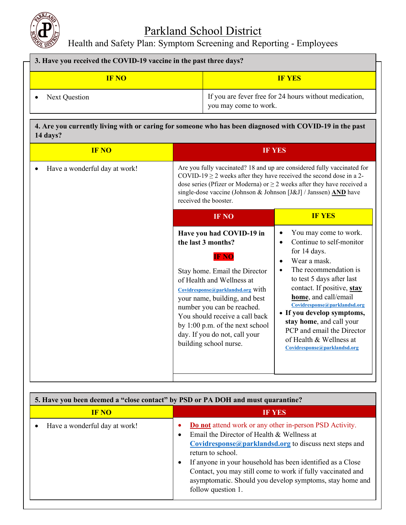

# Parkland School District

Health and Safety Plan: Symptom Screening and Reporting - Employees

| 3. Have you received the COVID-19 vaccine in the past three days? |                                                                                 |  |
|-------------------------------------------------------------------|---------------------------------------------------------------------------------|--|
| <b>IF NO</b>                                                      | <b>IF YES</b>                                                                   |  |
| Next Question                                                     | If you are fever free for 24 hours without medication,<br>you may come to work. |  |

### **4. Are you currently living with or caring for someone who has been diagnosed with COVID-19 in the past 14 days?**

|                                                                                                                                                                                                                                                                                                                                                                  | <b>IF YES</b>                                                                                                                                                                                                                                                                                                                                                                                                                |
|------------------------------------------------------------------------------------------------------------------------------------------------------------------------------------------------------------------------------------------------------------------------------------------------------------------------------------------------------------------|------------------------------------------------------------------------------------------------------------------------------------------------------------------------------------------------------------------------------------------------------------------------------------------------------------------------------------------------------------------------------------------------------------------------------|
| Are you fully vaccinated? 18 and up are considered fully vaccinated for<br>COVID-19 $\geq$ 2 weeks after they have received the second dose in a 2-<br>dose series (Pfizer or Moderna) or $\geq$ 2 weeks after they have received a<br>single-dose vaccine (Johnson & Johnson [J&J] / Janssen) AND have<br>received the booster.                                 |                                                                                                                                                                                                                                                                                                                                                                                                                              |
| <b>IF NO</b>                                                                                                                                                                                                                                                                                                                                                     | <b>IF YES</b>                                                                                                                                                                                                                                                                                                                                                                                                                |
| Have you had COVID-19 in<br>the last 3 months?<br><b>IF NO</b><br>Stay home. Email the Director<br>of Health and Wellness at<br>Covidresponse@parklandsd.org With<br>your name, building, and best<br>number you can be reached.<br>You should receive a call back<br>by 1:00 p.m. of the next school<br>day. If you do not, call your<br>building school nurse. | You may come to work.<br>٠<br>Continue to self-monitor<br>$\bullet$<br>for 14 days.<br>Wear a mask.<br>$\bullet$<br>The recommendation is<br>$\bullet$<br>to test 5 days after last<br>contact. If positive, stay<br>home, and call/email<br>Covidresponse@parklandsd.org<br>• If you develop symptoms,<br>stay home, and call your<br>PCP and email the Director<br>of Health & Wellness at<br>Covidresponse@parklandsd.org |
|                                                                                                                                                                                                                                                                                                                                                                  |                                                                                                                                                                                                                                                                                                                                                                                                                              |

| 5. Have you been deemed a "close contact" by PSD or PA DOH and must quarantine? |                                                                                                                                                                                                                                                                                                                                                                                                                                                             |
|---------------------------------------------------------------------------------|-------------------------------------------------------------------------------------------------------------------------------------------------------------------------------------------------------------------------------------------------------------------------------------------------------------------------------------------------------------------------------------------------------------------------------------------------------------|
| <b>IF NO</b>                                                                    | <b>IF YES</b>                                                                                                                                                                                                                                                                                                                                                                                                                                               |
| Have a wonderful day at work!                                                   | <b>Do not</b> attend work or any other in-person PSD Activity.<br>$\bullet$<br>Email the Director of Health & Wellness at<br>$\bullet$<br>$Covidresponse(\omega)$ parklandsd.org to discuss next steps and<br>return to school.<br>If anyone in your household has been identified as a Close<br>$\bullet$<br>Contact, you may still come to work if fully vaccinated and<br>asymptomatic. Should you develop symptoms, stay home and<br>follow question 1. |